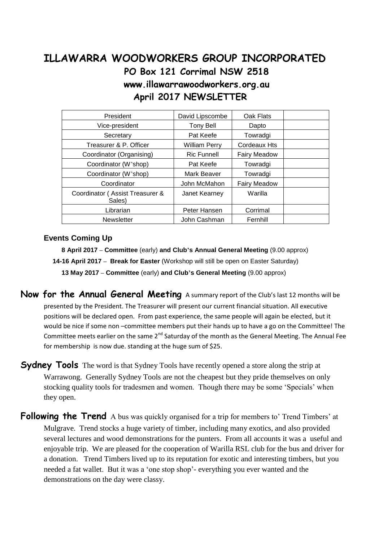# **ILLAWARRA WOODWORKERS GROUP INCORPORATED PO Box 121 Corrimal NSW 2518 www.illawarrawoodworkers.org.au April 2017 NEWSLETTER**

| President                                 | David Lipscombe      | Oak Flats           |  |
|-------------------------------------------|----------------------|---------------------|--|
| Vice-president                            | <b>Tony Bell</b>     | Dapto               |  |
| Secretary                                 | Pat Keefe            | Towradgi            |  |
| Treasurer & P. Officer                    | <b>William Perry</b> | Cordeaux Hts        |  |
| Coordinator (Organising)                  | <b>Ric Funnell</b>   | <b>Fairy Meadow</b> |  |
| Coordinator (W'shop)                      | Pat Keefe            | Towradgi            |  |
| Coordinator (W'shop)                      | Mark Beaver          | Towradgi            |  |
| Coordinator                               | John McMahon         | <b>Fairy Meadow</b> |  |
| Coordinator (Assist Treasurer &<br>Sales) | Janet Kearney        | Warilla             |  |
| Librarian                                 | Peter Hansen         | Corrimal            |  |
| Newsletter                                | John Cashman         | Fernhill            |  |

#### **Events Coming Up**

 **8 April 2017 – Committee** (early) **and Club's Annual General Meeting** (9.00 approx) **14-16 April 2017 – Break for Easter** (Workshop will still be open on Easter Saturday)  **13 May 2017 – Committee** (early) **and Club's General Meeting** (9.00 approx)

- **Now for the Annual General Meeting** A summary report of the Club's last 12 months will be presented by the President. The Treasurer will present our current financial situation. All executive positions will be declared open. From past experience, the same people will again be elected, but it would be nice if some non –committee members put their hands up to have a go on the Committee! The Committee meets earlier on the same 2<sup>nd</sup> Saturday of the month as the General Meeting. The Annual Fee for membership is now due. standing at the huge sum of \$25.
- **Sydney Tools** The word is that Sydney Tools have recently opened a store along the strip at Warrawong. Generally Sydney Tools are not the cheapest but they pride themselves on only stocking quality tools for tradesmen and women. Though there may be some 'Specials' when they open.
- **Following the Trend** A bus was quickly organised for a trip for members to' Trend Timbers' at Mulgrave. Trend stocks a huge variety of timber, including many exotics, and also provided several lectures and wood demonstrations for the punters. From all accounts it was a useful and enjoyable trip. We are pleased for the cooperation of Warilla RSL club for the bus and driver for a donation. Trend Timbers lived up to its reputation for exotic and interesting timbers, but you needed a fat wallet. But it was a 'one stop shop'- everything you ever wanted and the demonstrations on the day were classy.